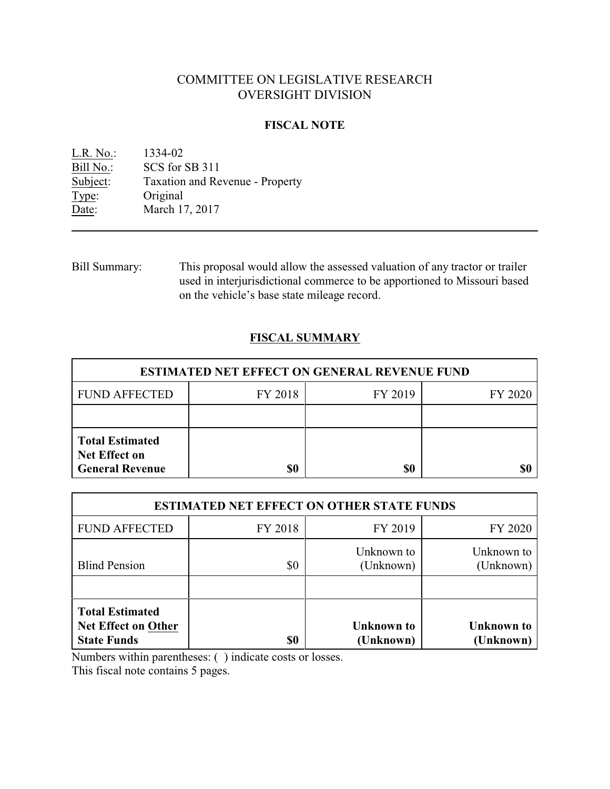# COMMITTEE ON LEGISLATIVE RESEARCH OVERSIGHT DIVISION

#### **FISCAL NOTE**

<u>L.R. No.:</u> 1334-02<br>Bill No.: SCS for : SCS for SB 311 Subject: Taxation and Revenue - Property Type: Original Date: March 17, 2017

Bill Summary: This proposal would allow the assessed valuation of any tractor or trailer used in interjurisdictional commerce to be apportioned to Missouri based on the vehicle's base state mileage record.

## **FISCAL SUMMARY**

| <b>ESTIMATED NET EFFECT ON GENERAL REVENUE FUND</b>                      |         |         |         |  |
|--------------------------------------------------------------------------|---------|---------|---------|--|
| <b>FUND AFFECTED</b>                                                     | FY 2018 | FY 2019 | FY 2020 |  |
|                                                                          |         |         |         |  |
| <b>Total Estimated</b><br><b>Net Effect on</b><br><b>General Revenue</b> | \$0     | \$0     |         |  |

| <b>ESTIMATED NET EFFECT ON OTHER STATE FUNDS</b>                           |         |                                |                                |  |
|----------------------------------------------------------------------------|---------|--------------------------------|--------------------------------|--|
| <b>FUND AFFECTED</b>                                                       | FY 2018 | FY 2019                        | FY 2020                        |  |
| <b>Blind Pension</b>                                                       | \$0     | Unknown to<br>(Unknown)        | Unknown to<br>(Unknown)        |  |
| <b>Total Estimated</b><br><b>Net Effect on Other</b><br><b>State Funds</b> | \$0     | <b>Unknown</b> to<br>(Unknown) | <b>Unknown</b> to<br>(Unknown) |  |

Numbers within parentheses: ( ) indicate costs or losses.

This fiscal note contains 5 pages.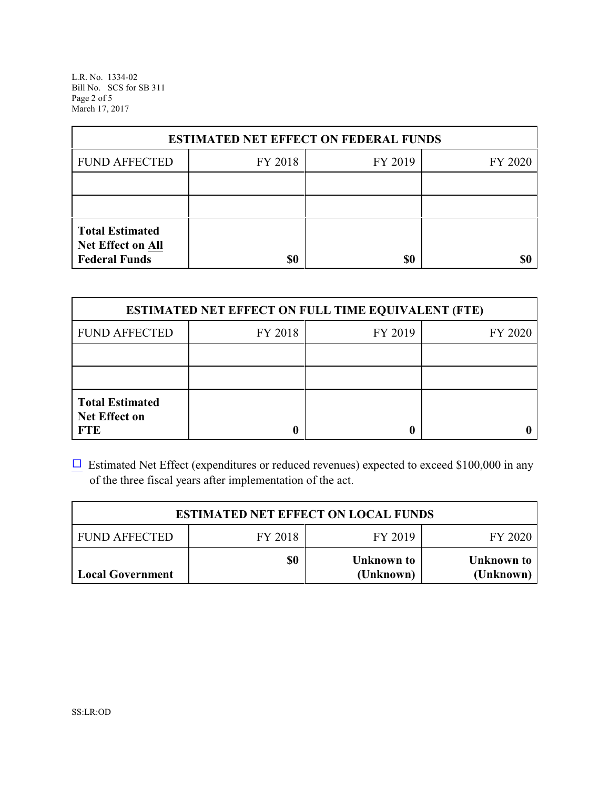L.R. No. 1334-02 Bill No. SCS for SB 311 Page 2 of 5 March 17, 2017

| <b>ESTIMATED NET EFFECT ON FEDERAL FUNDS</b> |         |         |         |  |
|----------------------------------------------|---------|---------|---------|--|
| <b>FUND AFFECTED</b>                         | FY 2018 | FY 2019 | FY 2020 |  |
|                                              |         |         |         |  |
|                                              |         |         |         |  |
| <b>Total Estimated</b><br>Net Effect on All  |         |         |         |  |
| <b>Federal Funds</b>                         | \$0     | \$0     |         |  |

| <b>ESTIMATED NET EFFECT ON FULL TIME EQUIVALENT (FTE)</b>    |         |         |         |  |
|--------------------------------------------------------------|---------|---------|---------|--|
| <b>FUND AFFECTED</b>                                         | FY 2018 | FY 2019 | FY 2020 |  |
|                                                              |         |         |         |  |
|                                                              |         |         |         |  |
| <b>Total Estimated</b><br><b>Net Effect on</b><br><b>FTE</b> |         |         |         |  |

 $\Box$  Estimated Net Effect (expenditures or reduced revenues) expected to exceed \$100,000 in any of the three fiscal years after implementation of the act.

| <b>ESTIMATED NET EFFECT ON LOCAL FUNDS</b> |         |                         |                         |  |
|--------------------------------------------|---------|-------------------------|-------------------------|--|
| <b>FUND AFFECTED</b>                       | FY 2018 | FY 2019                 | FY 2020                 |  |
| <b>Local Government</b>                    | \$0     | Unknown to<br>(Unknown) | Unknown to<br>(Unknown) |  |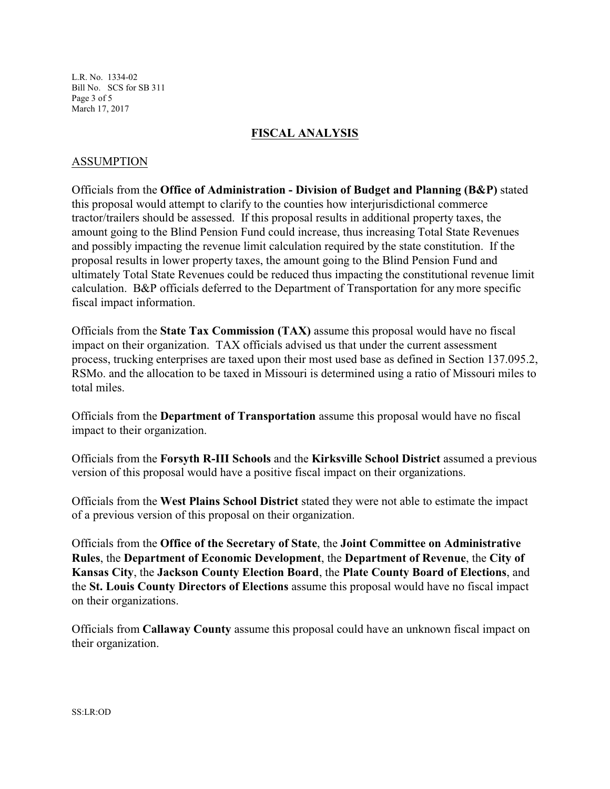L.R. No. 1334-02 Bill No. SCS for SB 311 Page 3 of 5 March 17, 2017

## **FISCAL ANALYSIS**

## ASSUMPTION

Officials from the **Office of Administration - Division of Budget and Planning (B&P)** stated this proposal would attempt to clarify to the counties how interjurisdictional commerce tractor/trailers should be assessed. If this proposal results in additional property taxes, the amount going to the Blind Pension Fund could increase, thus increasing Total State Revenues and possibly impacting the revenue limit calculation required by the state constitution. If the proposal results in lower property taxes, the amount going to the Blind Pension Fund and ultimately Total State Revenues could be reduced thus impacting the constitutional revenue limit calculation. B&P officials deferred to the Department of Transportation for any more specific fiscal impact information.

Officials from the **State Tax Commission (TAX)** assume this proposal would have no fiscal impact on their organization. TAX officials advised us that under the current assessment process, trucking enterprises are taxed upon their most used base as defined in Section 137.095.2, RSMo. and the allocation to be taxed in Missouri is determined using a ratio of Missouri miles to total miles.

Officials from the **Department of Transportation** assume this proposal would have no fiscal impact to their organization.

Officials from the **Forsyth R-III Schools** and the **Kirksville School District** assumed a previous version of this proposal would have a positive fiscal impact on their organizations.

Officials from the **West Plains School District** stated they were not able to estimate the impact of a previous version of this proposal on their organization.

Officials from the **Office of the Secretary of State**, the **Joint Committee on Administrative Rules**, the **Department of Economic Development**, the **Department of Revenue**, the **City of Kansas City**, the **Jackson County Election Board**, the **Plate County Board of Elections**, and the **St. Louis County Directors of Elections** assume this proposal would have no fiscal impact on their organizations.

Officials from **Callaway County** assume this proposal could have an unknown fiscal impact on their organization.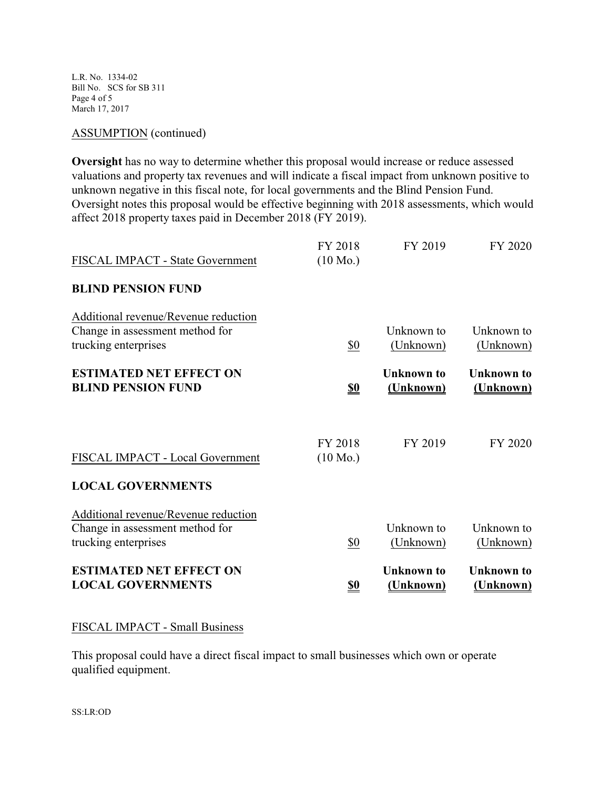L.R. No. 1334-02 Bill No. SCS for SB 311 Page 4 of 5 March 17, 2017

#### ASSUMPTION (continued)

**Oversight** has no way to determine whether this proposal would increase or reduce assessed valuations and property tax revenues and will indicate a fiscal impact from unknown positive to unknown negative in this fiscal note, for local governments and the Blind Pension Fund. Oversight notes this proposal would be effective beginning with 2018 assessments, which would affect 2018 property taxes paid in December 2018 (FY 2019).

| <b>ESTIMATED NET EFFECT ON</b><br><b>LOCAL GOVERNMENTS</b>                                      | <u>\$0</u>                    | <b>Unknown</b> to<br>(Unknown) | <b>Unknown</b> to<br>(Unknown) |
|-------------------------------------------------------------------------------------------------|-------------------------------|--------------------------------|--------------------------------|
| Additional revenue/Revenue reduction<br>Change in assessment method for<br>trucking enterprises | \$0                           | Unknown to<br>(Unknown)        | Unknown to<br>(Unknown)        |
| FISCAL IMPACT - Local Government<br><b>LOCAL GOVERNMENTS</b>                                    | FY 2018<br>$(10 \text{ Mo.})$ | FY 2019                        | FY 2020                        |
| <b>ESTIMATED NET EFFECT ON</b><br><b>BLIND PENSION FUND</b>                                     | <u>\$0</u>                    | <b>Unknown</b> to<br>(Unknown) | <b>Unknown</b> to<br>(Unknown) |
| Additional revenue/Revenue reduction<br>Change in assessment method for<br>trucking enterprises | \$0                           | Unknown to<br>(Unknown)        | Unknown to<br>(Unknown)        |
| <b>BLIND PENSION FUND</b>                                                                       |                               |                                |                                |
| FISCAL IMPACT - State Government                                                                | FY 2018<br>$(10 \text{ Mo.})$ | FY 2019                        | FY 2020                        |

#### FISCAL IMPACT - Small Business

This proposal could have a direct fiscal impact to small businesses which own or operate qualified equipment.